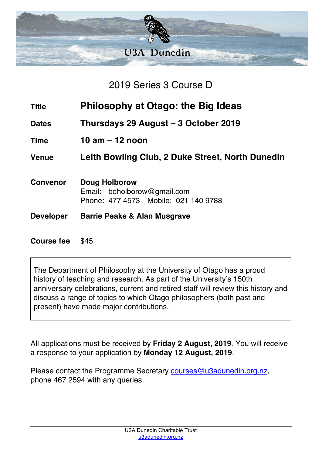

2019 Series 3 Course D

- **Title Philosophy at Otago: the Big Ideas**
- **Dates Thursdays 29 August – 3 October 2019**
- **Time 10 am – 12 noon**

**Venue Leith Bowling Club, 2 Duke Street, North Dunedin**

- **Convenor Doug Holborow** Email: bdholborow@gmail.com Phone: 477 4573 Mobile: 021 140 9788
- **Developer Barrie Peake & Alan Musgrave**

**Course fee** \$45

The Department of Philosophy at the University of Otago has a proud history of teaching and research. As part of the University's 150th anniversary celebrations, current and retired staff will review this history and discuss a range of topics to which Otago philosophers (both past and present) have made major contributions.

All applications must be received by **Friday 2 August, 2019**. You will receive a response to your application by **Monday 12 August, 2019**.

Please contact the Programme Secretary courses@u3adunedin.org.nz, phone 467 2594 with any queries.